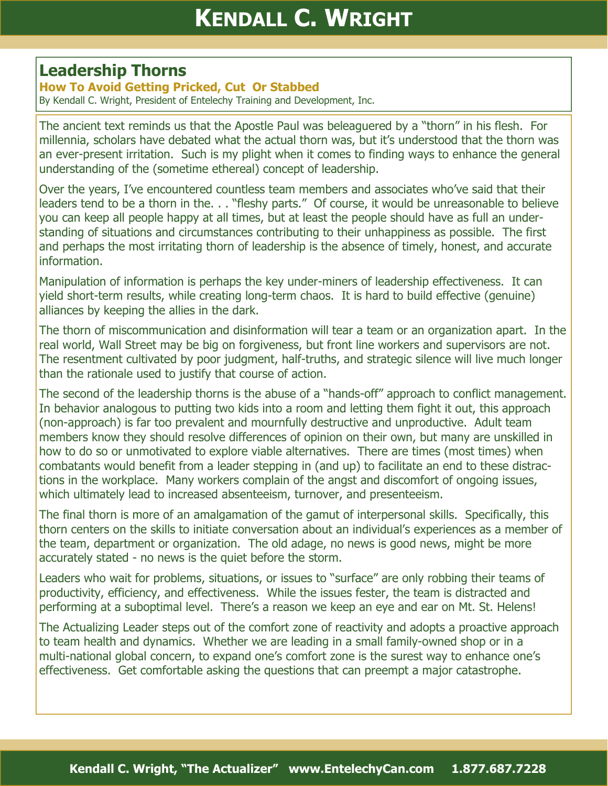## **Leadership Thorns**

## **How To Avoid Getting Pricked, Cut Or Stabbed**

By Kendall C. Wright, President of Entelechy Training and Development, Inc.

The ancient text reminds us that the Apostle Paul was beleaguered by a "thorn" in his flesh. For millennia, scholars have debated what the actual thorn was, but it's understood that the thorn was an ever-present irritation. Such is my plight when it comes to finding ways to enhance the general understanding of the (sometime ethereal) concept of leadership.

Over the years, I've encountered countless team members and associates who've said that their leaders tend to be a thorn in the. . . "fleshy parts." Of course, it would be unreasonable to believe you can keep all people happy at all times, but at least the people should have as full an understanding of situations and circumstances contributing to their unhappiness as possible. The first and perhaps the most irritating thorn of leadership is the absence of timely, honest, and accurate information.

Manipulation of information is perhaps the key under-miners of leadership effectiveness. It can yield short-term results, while creating long-term chaos. It is hard to build effective (genuine) alliances by keeping the allies in the dark.

The thorn of miscommunication and disinformation will tear a team or an organization apart. In the real world, Wall Street may be big on forgiveness, but front line workers and supervisors are not. The resentment cultivated by poor judgment, half-truths, and strategic silence will live much longer than the rationale used to justify that course of action.

The second of the leadership thorns is the abuse of a "hands-off" approach to conflict management. In behavior analogous to putting two kids into a room and letting them fight it out, this approach (non-approach) is far too prevalent and mournfully destructive and unproductive. Adult team members know they should resolve differences of opinion on their own, but many are unskilled in how to do so or unmotivated to explore viable alternatives. There are times (most times) when combatants would benefit from a leader stepping in (and up) to facilitate an end to these distractions in the workplace. Many workers complain of the angst and discomfort of ongoing issues, which ultimately lead to increased absenteeism, turnover, and presenteeism.

The final thorn is more of an amalgamation of the gamut of interpersonal skills. Specifically, this thorn centers on the skills to initiate conversation about an individual's experiences as a member of the team, department or organization. The old adage, no news is good news, might be more accurately stated - no news is the quiet before the storm.

Leaders who wait for problems, situations, or issues to "surface" are only robbing their teams of productivity, efficiency, and effectiveness. While the issues fester, the team is distracted and performing at a suboptimal level. There's a reason we keep an eye and ear on Mt. St. Helens!

The Actualizing Leader steps out of the comfort zone of reactivity and adopts a proactive approach to team health and dynamics. Whether we are leading in a small family-owned shop or in a multi-national global concern, to expand one's comfort zone is the surest way to enhance one's effectiveness. Get comfortable asking the questions that can preempt a major catastrophe.